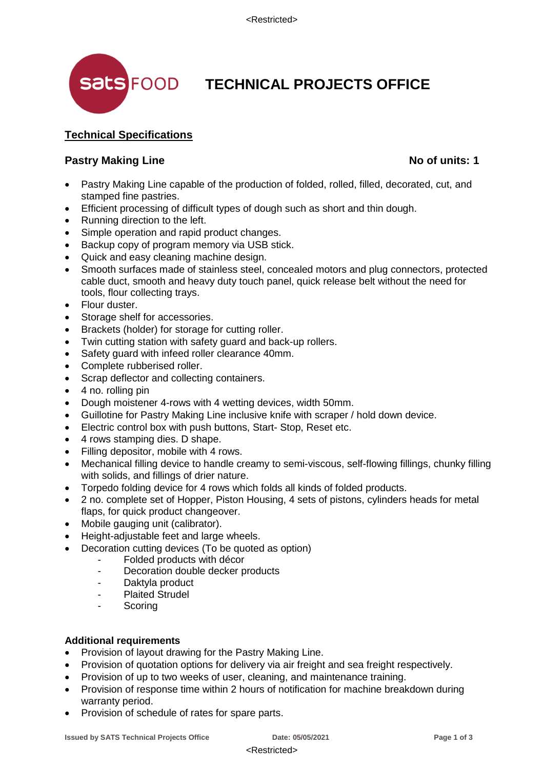

## **TECHNICAL PROJECTS OFFICE**

### **Technical Specifications**

#### **Pastry Making Line No of units: 1**

- Pastry Making Line capable of the production of folded, rolled, filled, decorated, cut, and stamped fine pastries.
- Efficient processing of difficult types of dough such as short and thin dough.
- Running direction to the left.
- Simple operation and rapid product changes.
- Backup copy of program memory via USB stick.
- Quick and easy cleaning machine design.
- Smooth surfaces made of stainless steel, concealed motors and plug connectors, protected cable duct, smooth and heavy duty touch panel, quick release belt without the need for tools, flour collecting trays.
- Flour duster.
- Storage shelf for accessories.
- Brackets (holder) for storage for cutting roller.
- Twin cutting station with safety guard and back-up rollers.
- Safety guard with infeed roller clearance 40mm.
- Complete rubberised roller.
- Scrap deflector and collecting containers.
- 4 no. rolling pin
- Dough moistener 4-rows with 4 wetting devices, width 50mm.
- Guillotine for Pastry Making Line inclusive knife with scraper / hold down device.
- Electric control box with push buttons, Start- Stop, Reset etc.
- 4 rows stamping dies. D shape.
- Filling depositor, mobile with 4 rows.
- Mechanical filling device to handle creamy to semi-viscous, self-flowing fillings, chunky filling with solids, and fillings of drier nature.
- Torpedo folding device for 4 rows which folds all kinds of folded products.
- 2 no. complete set of Hopper, Piston Housing, 4 sets of pistons, cylinders heads for metal flaps, for quick product changeover.
- Mobile gauging unit (calibrator).
- Height-adjustable feet and large wheels.
- Decoration cutting devices (To be quoted as option)
	- Folded products with décor
	- Decoration double decker products
	- Daktyla product
	- Plaited Strudel
	- **Scoring**

#### **Additional requirements**

- Provision of layout drawing for the Pastry Making Line.
- Provision of quotation options for delivery via air freight and sea freight respectively.
- Provision of up to two weeks of user, cleaning, and maintenance training.
- Provision of response time within 2 hours of notification for machine breakdown during warranty period.
- Provision of schedule of rates for spare parts.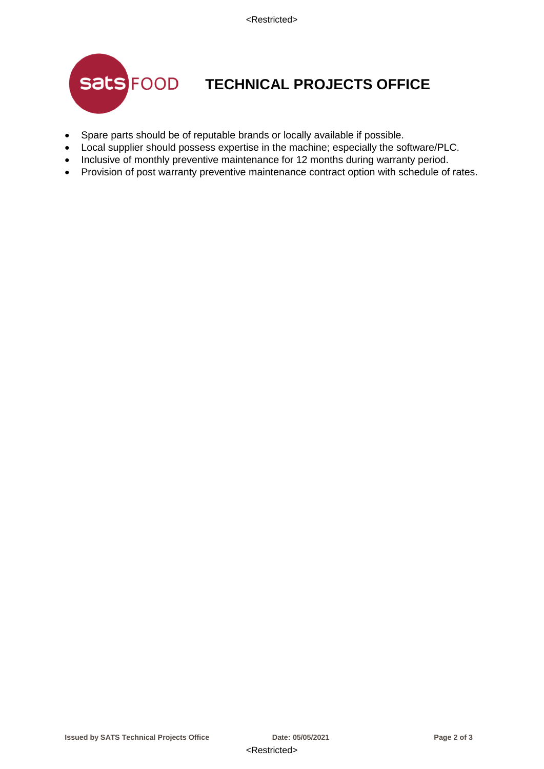

## **TECHNICAL PROJECTS OFFICE**

- Spare parts should be of reputable brands or locally available if possible.
- Local supplier should possess expertise in the machine; especially the software/PLC.
- Inclusive of monthly preventive maintenance for 12 months during warranty period.
- Provision of post warranty preventive maintenance contract option with schedule of rates.